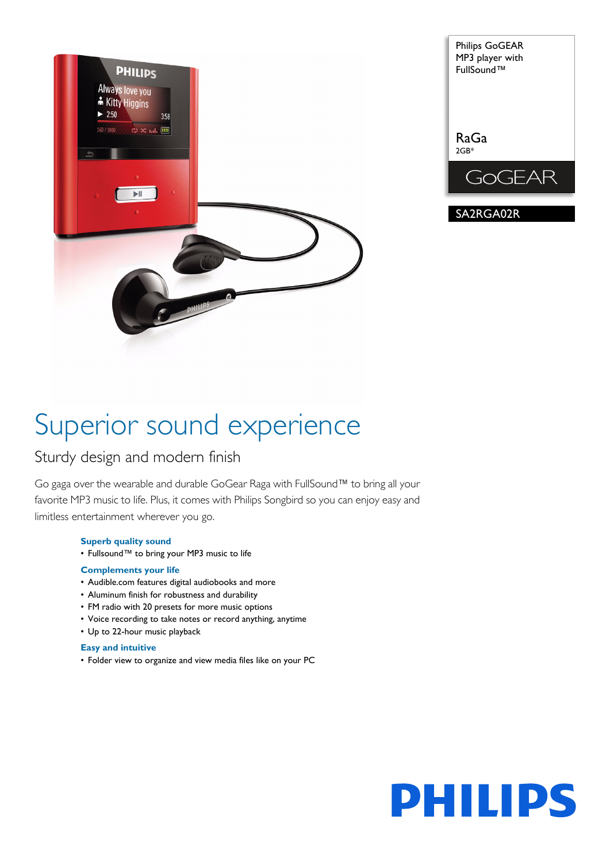



# Superior sound experience

# Sturdy design and modern finish

Go gaga over the wearable and durable GoGear Raga with FullSound™ to bring all your favorite MP3 music to life. Plus, it comes with Philips Songbird so you can enjoy easy and limitless entertainment wherever you go.

# **Superb quality sound**

• Fullsound™ to bring your MP3 music to life

# **Complements your life**

- Audible.com features digital audiobooks and more
- Aluminum finish for robustness and durability
- FM radio with 20 presets for more music options
- Voice recording to take notes or record anything, anytime
- Up to 22-hour music playback

# **Easy and intuitive**

• Folder view to organize and view media files like on your PC

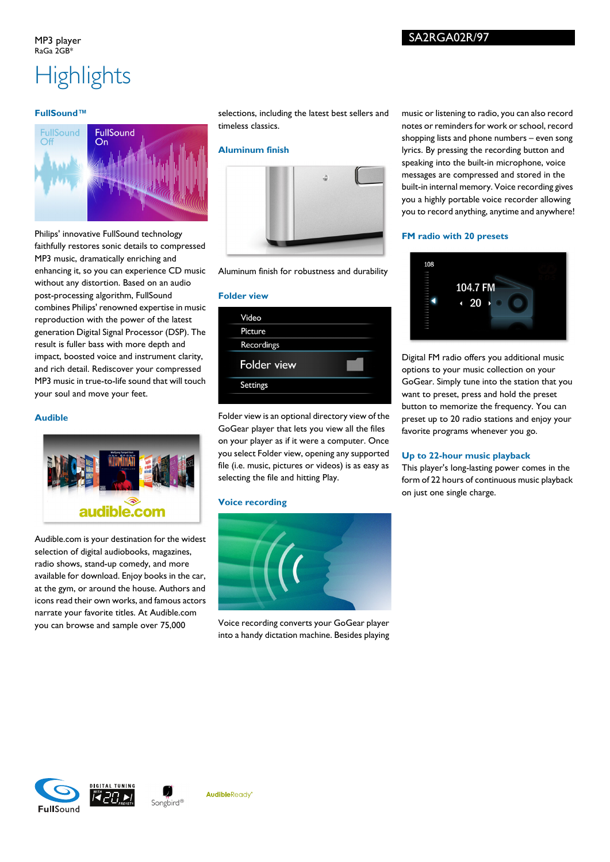# **Highlights**

# **FullSound™**



Philips' innovative FullSound technology faithfully restores sonic details to compressed MP3 music, dramatically enriching and enhancing it, so you can experience CD music without any distortion. Based on an audio post-processing algorithm, FullSound combines Philips' renowned expertise in music reproduction with the power of the latest generation Digital Signal Processor (DSP). The result is fuller bass with more depth and impact, boosted voice and instrument clarity, and rich detail. Rediscover your compressed MP3 music in true-to-life sound that will touch your soul and move your feet.

# **Audible**



Audible.com is your destination for the widest selection of digital audiobooks, magazines, radio shows, stand-up comedy, and more available for download. Enjoy books in the car, at the gym, or around the house. Authors and icons read their own works, and famous actors narrate your favorite titles. At Audible.com you can browse and sample over 75,000

selections, including the latest best sellers and timeless classics.

# **Aluminum finish**



Aluminum finish for robustness and durability

#### **Folder view**

| Video              |  |
|--------------------|--|
| Picture            |  |
| Recordings         |  |
| <b>Folder view</b> |  |
|                    |  |
| <b>Settings</b>    |  |

Folder view is an optional directory view of the GoGear player that lets you view all the files on your player as if it were a computer. Once you select Folder view, opening any supported file (i.e. music, pictures or videos) is as easy as selecting the file and hitting Play.

# **Voice recording**



Voice recording converts your GoGear player into a handy dictation machine. Besides playing

music or listening to radio, you can also record notes or reminders for work or school, record shopping lists and phone numbers – even song lyrics. By pressing the recording button and speaking into the built-in microphone, voice messages are compressed and stored in the built-in internal memory. Voice recording gives you a highly portable voice recorder allowing you to record anything, anytime and anywhere!

#### **FM radio with 20 presets**



Digital FM radio offers you additional music options to your music collection on your GoGear. Simply tune into the station that you want to preset, press and hold the preset button to memorize the frequency. You can preset up to 20 radio stations and enjoy your favorite programs whenever you go.

# **Up to 22-hour music playback**

This player's long-lasting power comes in the form of 22 hours of continuous music playback on just one single charge.